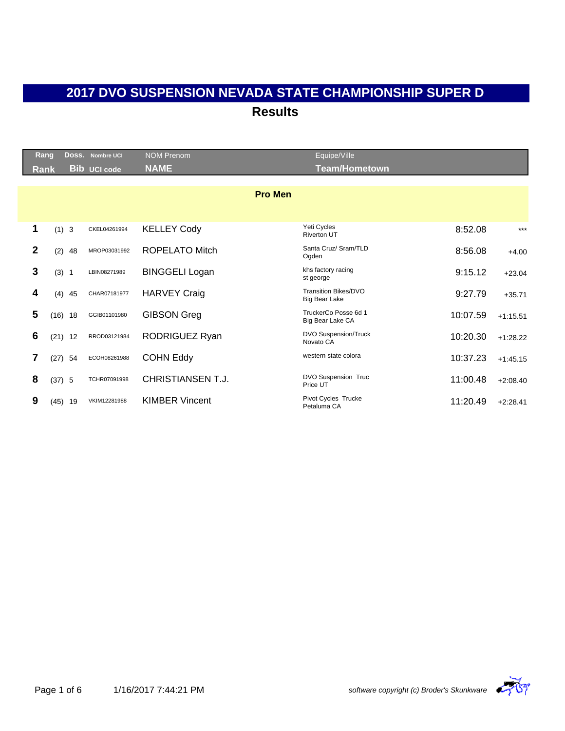|              | <b>Rang</b> |           | Doss. Nombre UCI    | <b>NOM Prenom</b>     | Equipe/Ville                                 |          |            |
|--------------|-------------|-----------|---------------------|-----------------------|----------------------------------------------|----------|------------|
|              | Rank        |           | <b>Bib UCI code</b> | <b>NAME</b>           | <b>Team/Hometown</b>                         |          |            |
|              |             |           |                     |                       |                                              |          |            |
|              |             |           |                     | <b>Pro Men</b>        |                                              |          |            |
|              |             |           |                     |                       |                                              |          |            |
| 1            |             | (1) 3     | CKEL04261994        | <b>KELLEY Cody</b>    | Yeti Cycles<br><b>Riverton UT</b>            | 8:52.08  | $***$      |
| $\mathbf{2}$ |             | (2)<br>48 | MROP03031992        | <b>ROPELATO Mitch</b> | Santa Cruz/ Sram/TLD<br>Ogden                | 8:56.08  | $+4.00$    |
| 3            |             | (3) 1     | LBIN08271989        | <b>BINGGELI Logan</b> | khs factory racing<br>st george              | 9:15.12  | $+23.04$   |
| 4            |             | (4)<br>45 | CHAR07181977        | <b>HARVEY Craig</b>   | Transition Bikes/DVO<br><b>Big Bear Lake</b> | 9:27.79  | $+35.71$   |
| 5            |             | $(16)$ 18 | GGIB01101980        | <b>GIBSON Greg</b>    | TruckerCo Posse 6d 1<br>Big Bear Lake CA     | 10:07.59 | $+1:15.51$ |
| 6            |             | $(21)$ 12 | RROD03121984        | RODRIGUEZ Ryan        | DVO Suspension/Truck<br>Novato CA            | 10:20.30 | $+1:28.22$ |
| 7            | (27)        | 54        | ECOH08261988        | <b>COHN Eddy</b>      | western state colora                         | 10:37.23 | $+1:45.15$ |
| 8            |             | (37) 5    | TCHR07091998        | CHRISTIANSEN T.J.     | DVO Suspension Truc<br>Price UT              | 11:00.48 | $+2:08.40$ |
| 9            | (45)        | 19        | VKIM12281988        | <b>KIMBER Vincent</b> | Pivot Cycles Trucke<br>Petaluma CA           | 11:20.49 | $+2:28.41$ |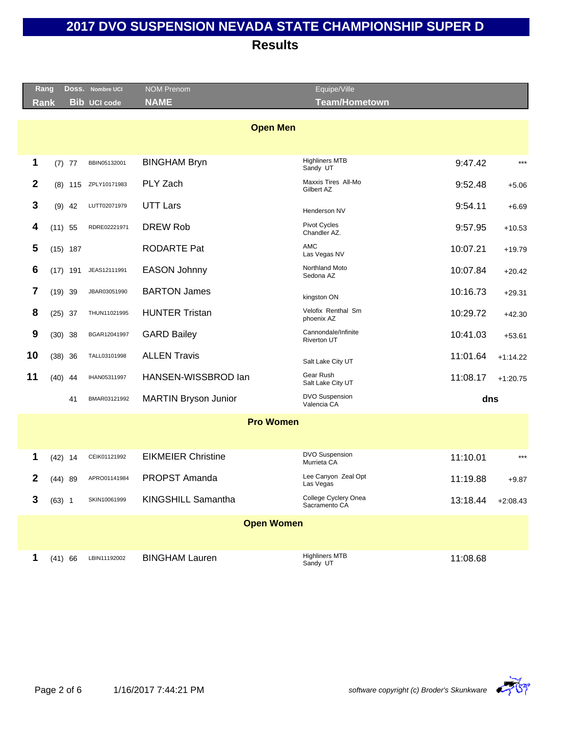|                  | Rang      |            | Doss. Nombre UCI    | <b>NOM Prenom</b>         | Equipe/Ville                              |          |            |
|------------------|-----------|------------|---------------------|---------------------------|-------------------------------------------|----------|------------|
|                  | Rank      |            | <b>Bib UCI code</b> | <b>NAME</b>               | <b>Team/Hometown</b>                      |          |            |
|                  |           |            |                     |                           |                                           |          |            |
|                  |           |            |                     | <b>Open Men</b>           |                                           |          |            |
|                  |           |            |                     |                           |                                           |          |            |
| 1                |           | $(7)$ 77   | BBIN05132001        | <b>BINGHAM Bryn</b>       | <b>Highliners MTB</b><br>Sandy UT         | 9:47.42  | $***$      |
| $\mathbf{2}$     | (8)       | 115        | ZPLY10171983        | PLY Zach                  | Maxxis Tires All-Mo<br>Gilbert AZ         | 9:52.48  | $+5.06$    |
| 3                | (9)       | 42         | LUTT02071979        | <b>UTT Lars</b>           | Henderson NV                              | 9:54.11  | $+6.69$    |
| 4                | $(11)$ 55 |            | RDRE02221971        | <b>DREW Rob</b>           | Pivot Cycles<br>Chandler AZ.              | 9:57.95  | $+10.53$   |
| 5                |           | $(15)$ 187 |                     | <b>RODARTE Pat</b>        | <b>AMC</b><br>Las Vegas NV                | 10:07.21 | $+19.79$   |
| 6                |           | $(17)$ 191 | JEAS12111991        | <b>EASON Johnny</b>       | Northland Moto<br>Sedona AZ               | 10:07.84 | $+20.42$   |
| 7                | $(19)$ 39 |            | JBAR03051990        | <b>BARTON James</b>       | kingston ON                               | 10:16.73 | $+29.31$   |
| 8                | $(25)$ 37 |            | THUN11021995        | <b>HUNTER Tristan</b>     | Velofix Renthal Sm<br>phoenix AZ          | 10:29.72 | $+42.30$   |
| $\boldsymbol{9}$ | (30)      | 38         | BGAR12041997        | <b>GARD Bailey</b>        | Cannondale/Infinite<br><b>Riverton UT</b> | 10:41.03 | $+53.61$   |
| 10               | (38)      | 36         | TALL03101998        | <b>ALLEN Travis</b>       | Salt Lake City UT                         | 11:01.64 | $+1:14.22$ |
| 11               | $(40)$ 44 |            | IHAN05311997        | HANSEN-WISSBROD lan       | Gear Rush<br>Salt Lake City UT            | 11:08.17 | $+1:20.75$ |
|                  |           | 41         | BMAR03121992        | MARTIN Bryson Junior      | <b>DVO Suspension</b><br>Valencia CA      | dns      |            |
|                  |           |            |                     | <b>Pro Women</b>          |                                           |          |            |
|                  |           |            |                     |                           |                                           |          |            |
| 1                | $(42)$ 14 |            | CEIK01121992        | <b>EIKMEIER Christine</b> | <b>DVO Suspension</b><br>Murrieta CA      | 11:10.01 | $***$      |
| 2                |           | (44) 89    | APRO01141984        | <b>PROPST Amanda</b>      | Lee Canyon Zeal Opt<br>Las Vegas          | 11:19.88 | $+9.87$    |
| 3                | $(63)$ 1  |            | SKIN10061999        | KINGSHILL Samantha        | College Cyclery Onea<br>Sacramento CA     | 13:18.44 | $+2:08.43$ |
|                  |           |            |                     | <b>Open Women</b>         |                                           |          |            |
|                  |           |            |                     |                           |                                           |          |            |
| 1                | (41) 66   |            | LBIN11192002        | <b>BINGHAM Lauren</b>     | <b>Highliners MTB</b><br>Sandy UT         | 11:08.68 |            |

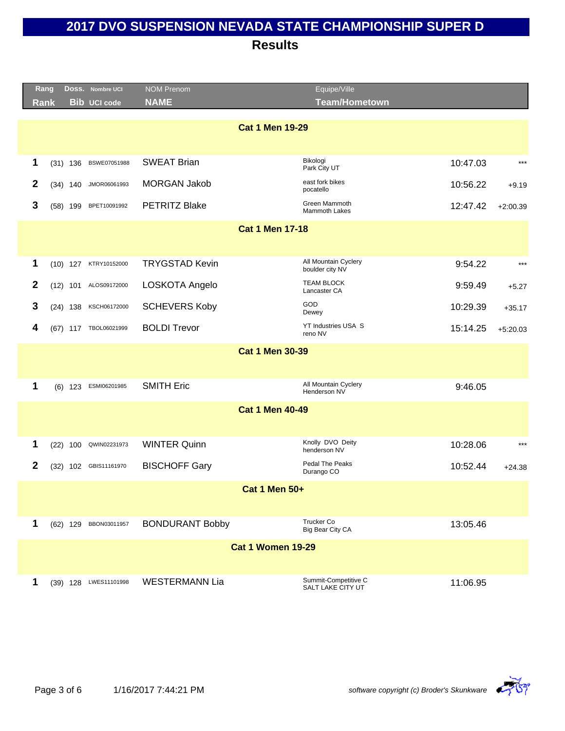|                  | Rang        |            | DOSS. Nombre UCI      | <b>NOM Prenom</b>      | Equipe/Ville                                          |            |
|------------------|-------------|------------|-----------------------|------------------------|-------------------------------------------------------|------------|
|                  | <b>Rank</b> |            | <b>Bib UCI code</b>   | <b>NAME</b>            | <b>Team/Hometown</b>                                  |            |
|                  |             |            |                       |                        | <b>Cat 1 Men 19-29</b>                                |            |
|                  |             |            |                       |                        |                                                       |            |
|                  |             |            |                       |                        | Bikologi                                              |            |
| 1                |             | $(31)$ 136 | BSWE07051988          | <b>SWEAT Brian</b>     | 10:47.03<br>Park City UT                              | $***$      |
| 2                |             | $(34)$ 140 | JMOR06061993          | <b>MORGAN Jakob</b>    | east fork bikes<br>10:56.22<br>pocatello              | $+9.19$    |
| 3                |             | $(58)$ 199 | BPET10091992          | <b>PETRITZ Blake</b>   | Green Mammoth<br>12:47.42<br>Mammoth Lakes            | $+2:00.39$ |
|                  |             |            |                       |                        | <b>Cat 1 Men 17-18</b>                                |            |
|                  |             |            |                       |                        |                                                       |            |
| 1                |             | $(10)$ 127 | KTRY10152000          | <b>TRYGSTAD Kevin</b>  | All Mountain Cyclery<br>9:54.22<br>boulder city NV    | $***$      |
| $\boldsymbol{2}$ |             |            | (12) 101 ALOS09172000 | LOSKOTA Angelo         | <b>TEAM BLOCK</b><br>9:59.49<br>Lancaster CA          | $+5.27$    |
| 3                |             | $(24)$ 138 | KSCH06172000          | <b>SCHEVERS Koby</b>   | GOD<br>10:29.39<br>Dewey                              | $+35.17$   |
| 4                |             |            | (67) 117 TBOL06021999 | <b>BOLDI Trevor</b>    | YT Industries USA S<br>15:14.25<br>reno NV            | $+5:20.03$ |
|                  |             |            |                       |                        | <b>Cat 1 Men 30-39</b>                                |            |
|                  |             |            |                       |                        |                                                       |            |
| 1                |             | $(6)$ 123  | ESMI06201985          | <b>SMITH Eric</b>      | All Mountain Cyclery<br>9:46.05                       |            |
|                  |             |            |                       |                        | Henderson NV                                          |            |
|                  |             |            |                       |                        | <b>Cat 1 Men 40-49</b>                                |            |
|                  |             |            |                       |                        |                                                       |            |
| 1                | (22)        | 100        | QWIN02231973          | <b>WINTER Quinn</b>    | Knolly DVO Deity<br>10:28.06<br>henderson NV          | $***$      |
| $\mathbf{2}$     |             |            | (32) 102 GBIS11161970 | <b>BISCHOFF Gary</b>   | Pedal The Peaks<br>10:52.44<br>Durango CO             | $+24.38$   |
|                  |             |            |                       |                        | <b>Cat 1 Men 50+</b>                                  |            |
|                  |             |            |                       |                        |                                                       |            |
| 1                |             |            | (62) 129 BBON03011957 | <b>BONDURANT Bobby</b> | <b>Trucker Co</b><br>13:05.46<br>Big Bear City CA     |            |
|                  |             |            |                       |                        | <b>Cat 1 Women 19-29</b>                              |            |
|                  |             |            |                       |                        |                                                       |            |
| 1                |             |            | (39) 128 LWES11101998 | <b>WESTERMANN Lia</b>  | Summit-Competitive C<br>11:06.95<br>SALT LAKE CITY UT |            |

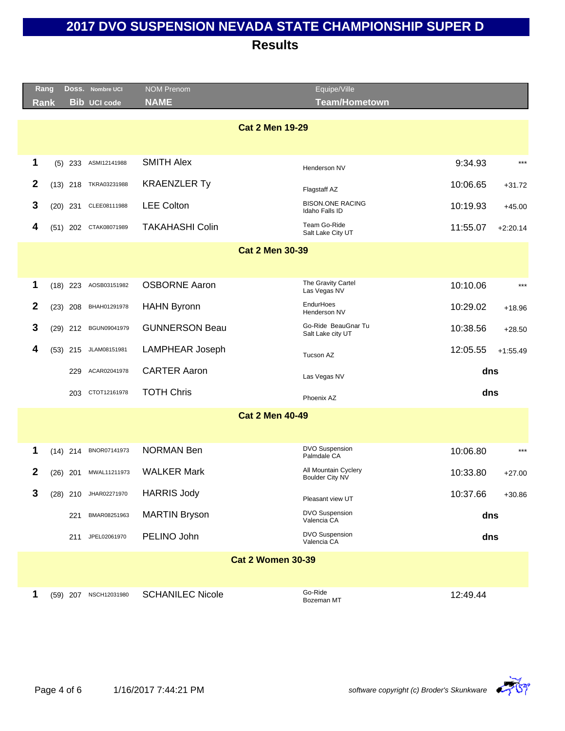|              | Rang<br>Doss. Nombre UCI           | <b>NOM Prenom</b>       | Equipe/Ville                                   |                        |
|--------------|------------------------------------|-------------------------|------------------------------------------------|------------------------|
|              | <b>Bib</b> UCI code<br><b>Rank</b> | <b>NAME</b>             | <b>Team/Hometown</b>                           |                        |
|              |                                    |                         | <b>Cat 2 Men 19-29</b>                         |                        |
|              |                                    |                         |                                                |                        |
| 1            | ASMI12141988<br>$(5)$ 233          | <b>SMITH Alex</b>       | Henderson NV                                   | 9:34.93<br>$***$       |
| $\mathbf{2}$ | TKRA03231988<br>$(13)$ 218         | <b>KRAENZLER Ty</b>     | Flagstaff AZ                                   | 10:06.65<br>$+31.72$   |
| 3            | $(20)$ 231<br>CLEE08111988         | <b>LEE Colton</b>       | <b>BISON.ONE RACING</b><br>Idaho Falls ID      | 10:19.93<br>$+45.00$   |
| 4            | CTAK08071989<br>$(51)$ 202         | <b>TAKAHASHI Colin</b>  | Team Go-Ride<br>Salt Lake City UT              | 11:55.07<br>$+2:20.14$ |
|              |                                    |                         | <b>Cat 2 Men 30-39</b>                         |                        |
|              |                                    |                         |                                                |                        |
| 1            | AOSB03151982<br>$(18)$ 223         | <b>OSBORNE Aaron</b>    | The Gravity Cartel<br>Las Vegas NV             | 10:10.06<br>$***$      |
| $\mathbf{2}$ | BHAH01291978<br>$(23)$ 208         | <b>HAHN Byronn</b>      | EndurHoes<br>Henderson NV                      | 10:29.02<br>$+18.96$   |
| 3            | (29) 212 BGUN09041979              | <b>GUNNERSON Beau</b>   | Go-Ride BeauGnar Tu<br>Salt Lake city UT       | 10:38.56<br>$+28.50$   |
| 4            | JLAM08151981<br>$(53)$ 215         | <b>LAMPHEAR Joseph</b>  | Tucson AZ                                      | 12:05.55<br>$+1:55.49$ |
|              | 229<br>ACAR02041978                | <b>CARTER Aaron</b>     | Las Vegas NV                                   | dns                    |
|              | CTOT12161978<br>203                | <b>TOTH Chris</b>       | Phoenix AZ                                     | dns                    |
|              |                                    |                         | <b>Cat 2 Men 40-49</b>                         |                        |
|              |                                    |                         |                                                |                        |
| 1            | BNOR07141973<br>$(14)$ 214         | <b>NORMAN Ben</b>       | <b>DVO Suspension</b><br>Palmdale CA           | 10:06.80<br>$***$      |
| $\mathbf{2}$ | MWAL11211973<br>$(26)$ 201         | <b>WALKER Mark</b>      | All Mountain Cyclery<br><b>Boulder City NV</b> | 10:33.80<br>$+27.00$   |
| 3            | (28) 210 JHAR02271970              | <b>HARRIS Jody</b>      | Pleasant view UT                               | 10:37.66<br>$+30.86$   |
|              | BMAR08251963<br>221                | <b>MARTIN Bryson</b>    | DVO Suspension<br>Valencia CA                  | dns                    |
|              | JPEL02061970<br>211                | PELINO John             | <b>DVO Suspension</b><br>Valencia CA           | dns                    |
|              |                                    |                         | <b>Cat 2 Women 30-39</b>                       |                        |
|              |                                    |                         |                                                |                        |
| 1            | (59) 207 NSCH12031980              | <b>SCHANILEC Nicole</b> | Go-Ride<br>Bozeman MT                          | 12:49.44               |

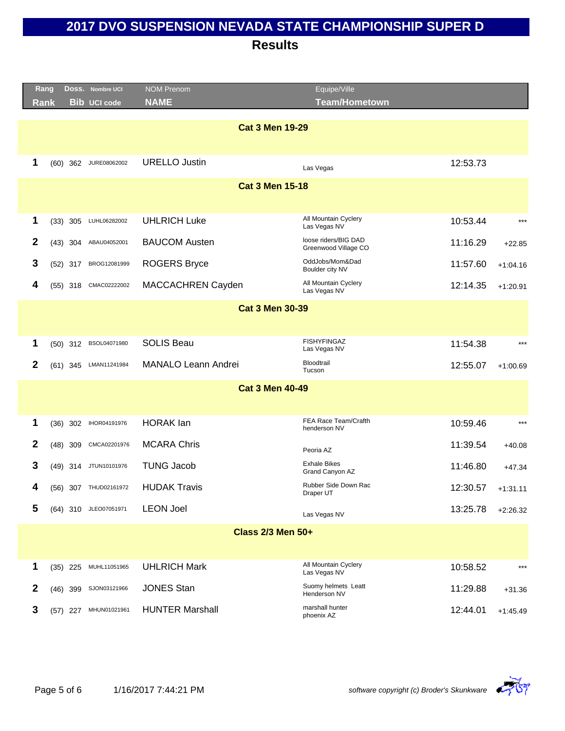|                        | Rang        |            | Doss. Nombre UCI      | <b>NOM Prenom</b>          | Equipe/Ville                                 |          |            |
|------------------------|-------------|------------|-----------------------|----------------------------|----------------------------------------------|----------|------------|
|                        | <b>Rank</b> |            | <b>Bib UCI code</b>   | <b>NAME</b>                | <b>Team/Hometown</b>                         |          |            |
|                        |             |            |                       |                            |                                              |          |            |
|                        |             |            |                       | <b>Cat 3 Men 19-29</b>     |                                              |          |            |
|                        |             |            |                       |                            |                                              |          |            |
| 1                      |             | $(60)$ 362 | JURE08062002          | <b>URELLO Justin</b>       | Las Vegas                                    | 12:53.73 |            |
|                        |             |            |                       | <b>Cat 3 Men 15-18</b>     |                                              |          |            |
|                        |             |            |                       |                            |                                              |          |            |
| 1                      |             | $(33)$ 305 | LUHL06282002          | <b>UHLRICH Luke</b>        | All Mountain Cyclery<br>Las Vegas NV         | 10:53.44 | $***$      |
| $\mathbf{2}$           |             | $(43)$ 304 | ABAU04052001          | <b>BAUCOM Austen</b>       | loose riders/BIG DAD<br>Greenwood Village CO | 11:16.29 | $+22.85$   |
| 3                      |             | $(52)$ 317 | BROG12081999          | <b>ROGERS Bryce</b>        | OddJobs/Mom&Dad<br>Boulder city NV           | 11:57.60 | $+1:04.16$ |
| 4                      |             | (55) 318   | CMAC02222002          | MACCACHREN Cayden          | All Mountain Cyclery<br>Las Vegas NV         | 12:14.35 | $+1:20.91$ |
|                        |             |            |                       | <b>Cat 3 Men 30-39</b>     |                                              |          |            |
|                        |             |            |                       |                            |                                              |          |            |
| 1                      |             | $(50)$ 312 | BSOL04071980          | <b>SOLIS Beau</b>          | <b>FISHYFINGAZ</b><br>Las Vegas NV           | 11:54.38 | $***$      |
| $\mathbf{2}$           |             | $(61)$ 345 | LMAN11241984          | <b>MANALO Leann Andrei</b> | Bloodtrail<br>Tucson                         | 12:55.07 | $+1:00.69$ |
| <b>Cat 3 Men 40-49</b> |             |            |                       |                            |                                              |          |            |
|                        |             |            |                       |                            |                                              |          |            |
| 1                      |             | $(36)$ 302 | IHOR04191976          | <b>HORAK</b> lan           | FEA Race Team/Crafth<br>henderson NV         | 10:59.46 | $***$      |
| $\mathbf{2}$           |             | (48) 309   | CMCA02201976          | <b>MCARA Chris</b>         | Peoria AZ                                    | 11:39.54 | $+40.08$   |
| 3                      |             |            | (49) 314 JTUN10101976 | <b>TUNG Jacob</b>          | <b>Exhale Bikes</b><br>Grand Canyon AZ       | 11:46.80 | $+47.34$   |
| 4                      |             |            | (56) 307 THUD02161972 | <b>HUDAK Travis</b>        | Rubber Side Down Rac<br>Draper UT            | 12:30.57 | $+1:31.11$ |
| 5                      |             |            | (64) 310 JLEO07051971 | <b>LEON Joel</b>           | Las Vegas NV                                 | 13:25.78 | $+2:26.32$ |
|                        |             |            |                       | <b>Class 2/3 Men 50+</b>   |                                              |          |            |
|                        |             |            |                       |                            |                                              |          |            |
| 1                      |             | $(35)$ 225 | MUHL11051965          | <b>UHLRICH Mark</b>        | All Mountain Cyclery<br>Las Vegas NV         | 10:58.52 | $***$      |
| $\mathbf 2$            |             | $(46)$ 399 | SJON03121966          | <b>JONES Stan</b>          | Suomy helmets Leatt<br>Henderson NV          | 11:29.88 | $+31.36$   |
| 3                      |             | $(57)$ 227 | MHUN01021961          | <b>HUNTER Marshall</b>     | marshall hunter<br>phoenix AZ                | 12:44.01 | $+1:45.49$ |